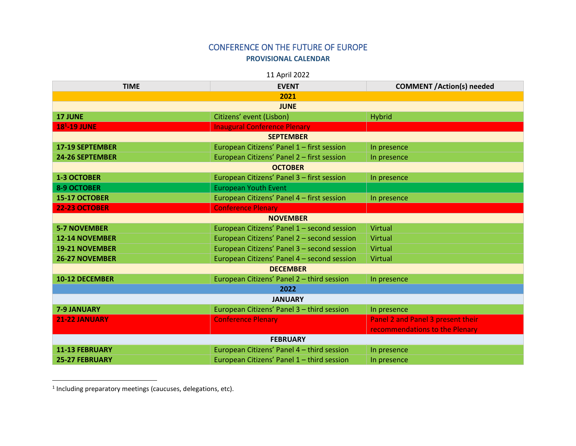## CONFERENCE ON THE FUTURE OF EUROPE **PROVISIONAL CALENDAR**

11 April 2022

| <b>TIME</b>            | <b>EVENT</b>                                | <b>COMMENT /Action(s) needed</b>  |  |
|------------------------|---------------------------------------------|-----------------------------------|--|
| 2021                   |                                             |                                   |  |
| <b>JUNE</b>            |                                             |                                   |  |
| <b>17 JUNE</b>         | Citizens' event (Lisbon)                    | <b>Hybrid</b>                     |  |
| $181$ -19 JUNE         | <b>Inaugural Conference Plenary</b>         |                                   |  |
| <b>SEPTEMBER</b>       |                                             |                                   |  |
| <b>17-19 SEPTEMBER</b> | European Citizens' Panel 1 - first session  | In presence                       |  |
| 24-26 SEPTEMBER        | European Citizens' Panel 2 - first session  | In presence                       |  |
| <b>OCTOBER</b>         |                                             |                                   |  |
| <b>1-3 OCTOBER</b>     | European Citizens' Panel 3 - first session  | In presence                       |  |
| <b>8-9 OCTOBER</b>     | <b>European Youth Event</b>                 |                                   |  |
| 15-17 OCTOBER          | European Citizens' Panel 4 - first session  | In presence                       |  |
| <b>22-23 OCTOBER</b>   | <b>Conference Plenary</b>                   |                                   |  |
| <b>NOVEMBER</b>        |                                             |                                   |  |
| <b>5-7 NOVEMBER</b>    | European Citizens' Panel 1 - second session | <b>Virtual</b>                    |  |
| <b>12-14 NOVEMBER</b>  | European Citizens' Panel 2 - second session | Virtual                           |  |
| <b>19-21 NOVEMBER</b>  | European Citizens' Panel 3 - second session | Virtual                           |  |
| <b>26-27 NOVEMBER</b>  | European Citizens' Panel 4 - second session | Virtual                           |  |
| <b>DECEMBER</b>        |                                             |                                   |  |
| <b>10-12 DECEMBER</b>  | European Citizens' Panel 2 - third session  | In presence                       |  |
| 2022                   |                                             |                                   |  |
| <b>JANUARY</b>         |                                             |                                   |  |
| <b>7-9 JANUARY</b>     | European Citizens' Panel 3 - third session  | In presence                       |  |
| 21-22 JANUARY          | <b>Conference Plenary</b>                   | Panel 2 and Panel 3 present their |  |
|                        |                                             | recommendations to the Plenary    |  |
| <b>FEBRUARY</b>        |                                             |                                   |  |
| 11-13 FEBRUARY         | European Citizens' Panel 4 - third session  | In presence                       |  |
| <b>25-27 FEBRUARY</b>  | European Citizens' Panel 1 - third session  | In presence                       |  |

1 Including preparatory meetings (caucuses, delegations, etc).